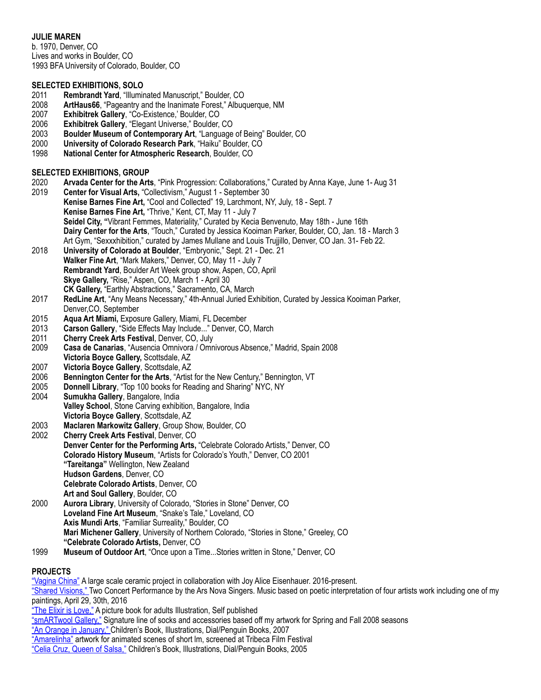# **JULIE MAREN**

b. 1970, Denver, CO Lives and works in Boulder, CO 1993 BFA University of Colorado, Boulder, CO

### **SELECTED EXHIBITIONS, SOLO**

- 2011 **Rembrandt Yard**, "Illuminated Manuscript," Boulder, CO
- 2008 **ArtHaus66**, "Pageantry and the Inanimate Forest," Albuquerque, NM
- 2007 **Exhibitrek Gallery**, "Co-Existence,' Boulder, CO
- 2006 **Exhibitrek Gallery**, "Elegant Universe," Boulder, CO
- 2003 **Boulder Museum of Contemporary Art**, "Language of Being" Boulder, CO
- 2000 **University of Colorado Research Park**, "Haiku" Boulder, CO
- 1998 **National Center for Atmospheric Research**, Boulder, CO

### **SELECTED EXHIBITIONS, GROUP**

- 2020 **Arvada Center for the Arts**, "Pink Progression: Collaborations," Curated by Anna Kaye, June 1- Aug 31
- 2019 **Center for Visual Arts,** "Collectivism," August 1 September 30  **Kenise Barnes Fine Art,** "Cool and Collected" 19, Larchmont, NY, July, 18 - Sept. 7  **Kenise Barnes Fine Art,** "Thrive," Kent, CT, May 11 - July 7  **Seidel City, "**Vibrant Femmes, Materiality," Curated by Kecia Benvenuto, May 18th - June 16th  **Dairy Center for the Arts**, "Touch," Curated by Jessica Kooiman Parker, Boulder, CO, Jan. 18 - March 3 Art Gym, "Sexxxhibition," curated by James Mullane and Louis Trujjillo, Denver, CO Jan. 31- Feb 22.
- 2018 **University of Colorado at Boulder**, "Embryonic," Sept. 21 Dec. 21 **Walker Fine Art**, "Mark Makers," Denver, CO, May 11 - July 7 **Rembrandt Yard**, Boulder Art Week group show, Aspen, CO, April **Skye Gallery,** "Rise," Aspen, CO, March 1 - April 30 **CK Gallery,** "Earthly Abstractions," Sacramento, CA, March
- 2017 **RedLine Art**, "Any Means Necessary," 4th-Annual Juried Exhibition, Curated by Jessica Kooiman Parker,
- Denver, CO, September<br>2015 **Agua Art Miami**, Expos Aqua Art Miami, Exposure Gallery, Miami, FL December
- 2013 **Carson Gallery**, "Side Effects May Include..." Denver, CO, March
- 2011 **Cherry Creek Arts Festival**, Denver, CO, July
- 2009 **Casa de Canarias**, "Ausencia Omnivora / Omnivorous Absence," Madrid, Spain 2008 **Victoria Boyce Gallery,** Scottsdale, AZ
- 2007 **Victoria Boyce Gallery**, Scottsdale, AZ
- **Bennington Center for the Arts**, "Artist for the New Century," Bennington, VT
- 2005 **Donnell Library**, "Top 100 books for Reading and Sharing" NYC, NY
- 2004 **Sumukha Gallery**, Bangalore, India **Valley School**, Stone Carving exhibition, Bangalore, India **Victoria Boyce Gallery**, Scottsdale, AZ
- 
- 2003 **Maclaren Markowitz Gallery**, Group Show, Boulder, CO **Cherry Creek Arts Festival, Denver, CO Denver Center for the Performing Arts,** "Celebrate Colorado Artists," Denver, CO **Colorado History Museum**, "Artists for Colorado's Youth," Denver, CO 2001 **"Tareitanga"** Wellington, New Zealand **Hudson Gardens**, Denver, CO **Celebrate Colorado Artists**, Denver, CO **Art and Soul Gallery**, Boulder, CO
- 2000 **Aurora Library**, University of Colorado, "Stories in Stone" Denver, CO **Loveland Fine Art Museum**, "Snake's Tale," Loveland, CO **Axis Mundi Arts**, "Familiar Surreality," Boulder, CO **Mari Michener Gallery**, University of Northern Colorado, "Stories in Stone," Greeley, CO **"Celebrate Colorado Artists,** Denver, CO
- 1999 **Museum of Outdoor Art**, "Once upon a Time...Stories written in Stone," Denver, CO

## **PROJECTS**

["Vagina China"](https://www.vaginachina.org) A large scale ceramic project in collaboration with Joy Alice Eisenhauer. 2016-present. ["Shared Visions," T](http://www.arsnovasingers.org/shared-visions-review/)wo Concert Performance by the Ars Nova Singers. Music based on poetic interpretation of four artists work including one of my paintings, April 29, 30th, 2016 ["The Elixir is Love,"](http://www.blurb.com/b/5684231-the-elixir-is-love) A picture book for adults Illustration, Self published ["smARTwool Gallery,"](https://www.slideshare.net/JulieMaren/5may15outdoormagazinepag23) Signature line of socks and accessories based off my artwork for Spring and Fall 2008 seasons ["An Orange in January,"](https://www.amazon.com/Orange-January-Dianna-Hutts-Aston/dp/0803731469%23customerReviews) Children's Book, Illustrations, Dial/Penguin Books, 2007 ["Amarelinha"](http://www.imdb.com/title/tt1003257/) artwork for animated scenes of short Im, screened at Tribeca Film Festival ["Celia Cruz, Queen of Salsa,"](https://www.amazon.com/Celia-Queen-Salsa-Veronica-Chambers/dp/0142407798) Children's Book, Illustrations, Dial/Penguin Books, 2005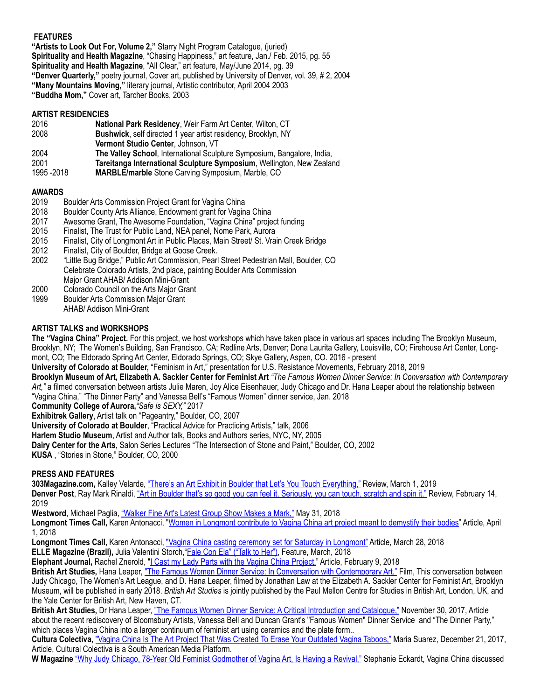## **FEATURES**

**"Artists to Look Out For, Volume 2,"** Starry Night Program Catalogue, (juried) **Spirituality and Health Magazine**, "Chasing Happiness," art feature, Jan./ Feb. 2015, pg. 55 **Spirituality and Health Magazine**, "All Clear," art feature, May/June 2014, pg. 39 **"Denver Quarterly,"** poetry journal, Cover art, published by University of Denver, vol. 39, # 2, 2004 **"Many Mountains Moving,"** literary journal, Artistic contributor, April 2004 2003 **"Buddha Mom,"** Cover art, Tarcher Books, 2003

#### **ARTIST RESIDENCIES**

| 2016        | National Park Residency, Weir Farm Art Center, Wilton, CT               |
|-------------|-------------------------------------------------------------------------|
| 2008        | Bushwick, self directed 1 year artist residency, Brooklyn, NY           |
|             | Vermont Studio Center, Johnson, VT                                      |
| 2004        | The Valley School, International Sculpture Symposium, Bangalore, India, |
| 2001        | Tareitanga International Sculpture Symposium, Wellington, New Zealand   |
| 1995 - 2018 | MARBLE/marble Stone Carving Symposium, Marble, CO                       |

- **AWARDS**  Boulder Arts Commission Project Grant for Vagina China
- 2018 Boulder County Arts Alliance, Endowment grant for Vagina China
- 2017 Awesome Grant, The Awesome Foundation, "Vagina China" project funding
- 2015 Finalist, The Trust for Public Land, NEA panel, Nome Park, Aurora
- 2015 Finalist, City of Longmont Art in Public Places, Main Street/ St. Vrain Creek Bridge
- 
- 2012 Finalist, City of Boulder, Bridge at Goose Creek.<br>2002 FLittle Bug Bridge," Public Art Commission, Pearl 2002 "Little Bug Bridge," Public Art Commission, Pearl Street Pedestrian Mall, Boulder, CO Celebrate Colorado Artists, 2nd place, painting Boulder Arts Commission Major Grant AHAB/ Addison Mini-Grant
- 2000 Colorado Council on the Arts Major Grant
- 1999 Boulder Arts Commission Major Grant AHAB/ Addison Mini-Grant

## **ARTIST TALKS and WORKSHOPS**

**The "Vagina China" Project.** For this project, we host workshops which have taken place in various art spaces including The Brooklyn Museum, Brooklyn, NY; The Women's Building, San Francisco, CA; Redline Arts, Denver; Dona Laurita Gallery, Louisville, CO; Firehouse Art Center, Longmont, CO; The Eldorado Spring Art Center, Eldorado Springs, CO; Skye Gallery, Aspen, CO. 2016 - present

**University of Colorado at Boulder,** "Feminism in Art," presentation for U.S. Resistance Movements, February 2018, 2019

**Brooklyn Museum of Art, Elizabeth A. Sackler Center for Feminist Art** *"The Famous Women Dinner Service: In Conversation with Contemporary Art,"* a filmed conversation between artists Julie Maren, Joy Alice Eisenhauer, Judy Chicago and Dr. Hana Leaper about the relationship between "Vagina China," "The Dinner Party" and Vanessa Bell's "Famous Women" dinner service, Jan. 2018

**Community College of Aurora,***"Safe is SEXY,"* 2017

**Exhibitrek Gallery**, Artist talk on "Pageantry," Boulder, CO, 2007

**University of Colorado at Boulder**, "Practical Advice for Practicing Artists," talk, 2006

**Harlem Studio Museum**, Artist and Author talk, Books and Authors series, NYC, NY, 2005

**Dairy Center for the Arts**, Salon Series Lectures "The Intersection of Stone and Paint," Boulder, CO, 2002

**KUSA** , "Stories in Stone," Boulder, CO, 2000

## **PRESS AND FEATURES**

**303Magazine.com,** Kalley Velarde, ["There's an Art Exhibit in Boulder that Let's You Touch Everything,"](https://303magazine.com/2019/03/touch-art-exhibit-boulder/) Review, March 1, 2019 **Denver Post**, Ray Mark Rinaldi, ["Art in Boulder that's so good you can feel it. Seriously, you can touch, scratch and spin it."](https://theknow.denverpost.com/2019/02/14/boulder-dairy-arts-touch/208880/) Review, February 14, 2019

Westword, Michael Paglia, ["Walker Fine Art's Latest Group Show Makes a Mark,"](https://www.westword.com/arts/walker-fine-arts-new-show-includes-julie-maren-ellen-moershel-and-brigan-gresh-10364150) May 31, 2018

**Longmont Times Call,** Karen Antonacci, "[Women in Longmont contribute to Vagina China art project meant to demystify their bodies](http://www.timescall.com/longmont-local-news/ci_31774824/vagina-china-longmont)" Article, April 1, 2018

Longmont Times Call, Karen Antonacci, ["Vagina China casting ceremony set for Saturday in Longmont"](http://www.timescall.com/longmont-local-news/ci_31767582/vagina-china-casting-ceremony-set-saturday-longmont) Article, March 28, 2018 **ELLE Magazine (Brazil),** Julia Valentini Storch, "[Fale Con Ela" \("Talk to Her"\)](https://docs.wixstatic.com/ugd/ad2e7e_4342b8c2f79347e481fe16de6c410bff.pdf), Feature, March, 2018

**Elephant Journal,** Rachel Znerold, ["I Cast my Lady Parts with the Vagina China Project."](https://www.elephantjournal.com/2018/02/i-cast-my-lady-parts-with-the-vagina-china-project/) Article, February 9, 2018

**British Art Studies,** Hana Leaper, ["The Famous Women Dinner Service: In Conversation with Contemporary Art."](http://www.britishartstudies.ac.uk/issues/issue-index/issue-7/dinner-party) Film, This conversation between Judy Chicago, The Women's Art League, and D. Hana Leaper, filmed by Jonathan Law at the Elizabeth A. Sackler Center for Feminist Art, Brooklyn Museum, will be published in early 2018. *British Art Studies* is jointly published by the Paul Mellon Centre for Studies in British Art, London, UK, and the Yale Center for British Art, New Haven, CT.

**British Art Studies,** Dr Hana Leaper, ["The Famous Women Dinner Service: A Critical Introduction and Catalogue,"](http://www.britishartstudies.ac.uk/issues/issue-index/issue-7/famous-women) November 30, 2017, Article about the recent rediscovery of Bloomsbury Artists, Vanessa Bell and Duncan Grant's "Famous Women" Dinner Service and "The Dinner Party," which places Vagina China into a larger continuum of feminist art using ceramics and the plate form..

**Cultura Colectiva,** ["Vagina China Is The Art Project That Was Created To Erase Your Outdated Vagina Taboos,"](https://culturacolectiva.com/art/vagina-china-project-womens-art-league/) Maria Suarez, December 21, 2017, Article, Cultural Colectiva is a South American Media Platform.

**W Magazine** ["Why Judy Chicago, 78-Year Old Feminist Godmother of Vagina Art, Is Having a Revival,"](https://www.wmagazine.com/story/judy-chicago-the-dinner-party-brooklyn-museum-interview) Stephanie Eckardt, Vagina China discussed